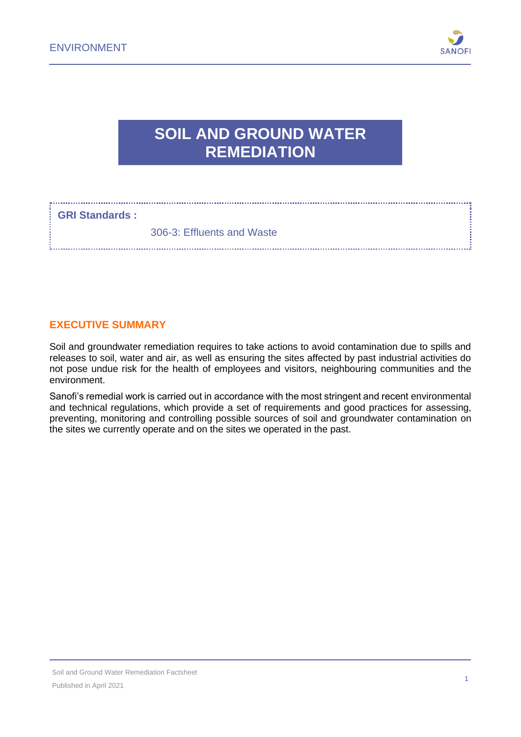

# **SOIL AND GROUND WATER REMEDIATION**

# **GRI Standards :**

306-3: Effluents and Waste

# **EXECUTIVE SUMMARY**

Soil and groundwater remediation requires to take actions to avoid contamination due to spills and releases to soil, water and air, as well as ensuring the sites affected by past industrial activities do not pose undue risk for the health of employees and visitors, neighbouring communities and the environment.

Sanofi's remedial work is carried out in accordance with the most stringent and recent environmental and technical regulations, which provide a set of requirements and good practices for assessing, preventing, monitoring and controlling possible sources of soil and groundwater contamination on the sites we currently operate and on the sites we operated in the past.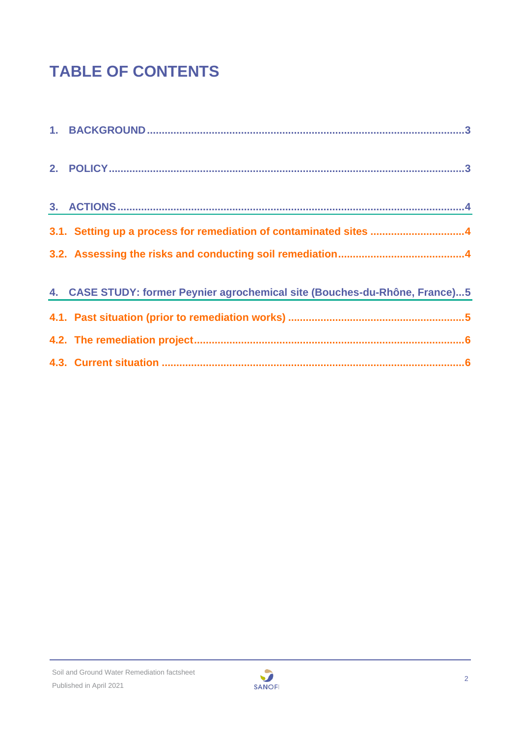# **TABLE OF CONTENTS**

| 3.1. Setting up a process for remediation of contaminated sites 4           |
|-----------------------------------------------------------------------------|
|                                                                             |
| 4. CASE STUDY: former Peynier agrochemical site (Bouches-du-Rhône, France)5 |
|                                                                             |
|                                                                             |
|                                                                             |
|                                                                             |
|                                                                             |

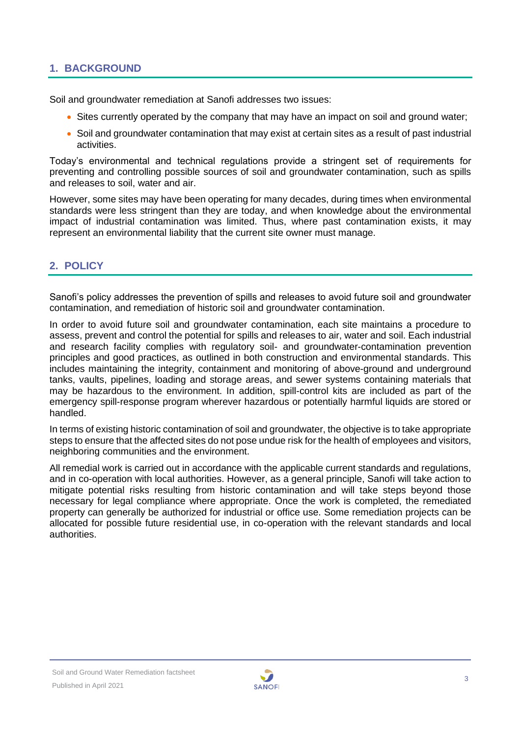# <span id="page-2-0"></span>**1. BACKGROUND**

Soil and groundwater remediation at Sanofi addresses two issues:

- Sites currently operated by the company that may have an impact on soil and ground water;
- Soil and groundwater contamination that may exist at certain sites as a result of past industrial activities.

Today's environmental and technical regulations provide a stringent set of requirements for preventing and controlling possible sources of soil and groundwater contamination, such as spills and releases to soil, water and air.

However, some sites may have been operating for many decades, during times when environmental standards were less stringent than they are today, and when knowledge about the environmental impact of industrial contamination was limited. Thus, where past contamination exists, it may represent an environmental liability that the current site owner must manage.

# <span id="page-2-1"></span>**2. POLICY**

Sanofi's policy addresses the prevention of spills and releases to avoid future soil and groundwater contamination, and remediation of historic soil and groundwater contamination.

In order to avoid future soil and groundwater contamination, each site maintains a procedure to assess, prevent and control the potential for spills and releases to air, water and soil. Each industrial and research facility complies with regulatory soil- and groundwater-contamination prevention principles and good practices, as outlined in both construction and environmental standards. This includes maintaining the integrity, containment and monitoring of above-ground and underground tanks, vaults, pipelines, loading and storage areas, and sewer systems containing materials that may be hazardous to the environment. In addition, spill-control kits are included as part of the emergency spill-response program wherever hazardous or potentially harmful liquids are stored or handled.

In terms of existing historic contamination of soil and groundwater, the objective is to take appropriate steps to ensure that the affected sites do not pose undue risk for the health of employees and visitors, neighboring communities and the environment.

All remedial work is carried out in accordance with the applicable current standards and regulations, and in co-operation with local authorities. However, as a general principle, Sanofi will take action to mitigate potential risks resulting from historic contamination and will take steps beyond those necessary for legal compliance where appropriate. Once the work is completed, the remediated property can generally be authorized for industrial or office use. Some remediation projects can be allocated for possible future residential use, in co-operation with the relevant standards and local authorities.

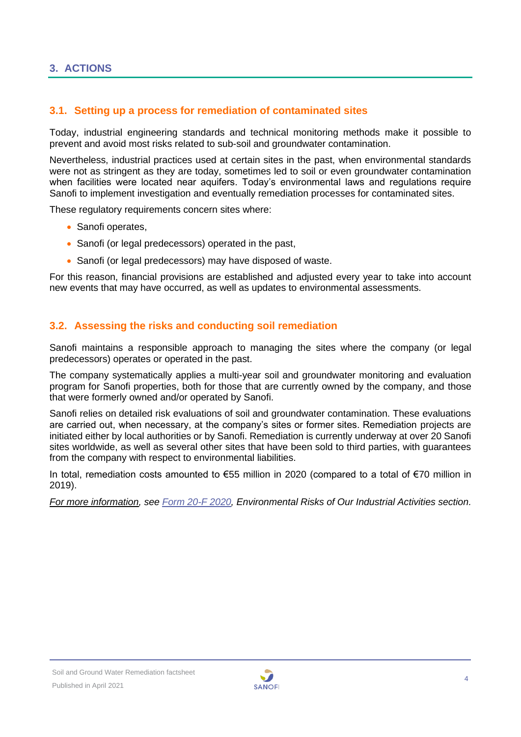#### <span id="page-3-1"></span><span id="page-3-0"></span>**3.1. Setting up a process for remediation of contaminated sites**

Today, industrial engineering standards and technical monitoring methods make it possible to prevent and avoid most risks related to sub-soil and groundwater contamination.

Nevertheless, industrial practices used at certain sites in the past, when environmental standards were not as stringent as they are today, sometimes led to soil or even groundwater contamination when facilities were located near aquifers. Today's environmental laws and regulations require Sanofi to implement investigation and eventually remediation processes for contaminated sites.

These regulatory requirements concern sites where:

- Sanofi operates.
- Sanofi (or legal predecessors) operated in the past,
- Sanofi (or legal predecessors) may have disposed of waste.

For this reason, financial provisions are established and adjusted every year to take into account new events that may have occurred, as well as updates to environmental assessments.

#### <span id="page-3-2"></span>**3.2. Assessing the risks and conducting soil remediation**

Sanofi maintains a responsible approach to managing the sites where the company (or legal predecessors) operates or operated in the past.

The company systematically applies a multi-year soil and groundwater monitoring and evaluation program for Sanofi properties, both for those that are currently owned by the company, and those that were formerly owned and/or operated by Sanofi.

Sanofi relies on detailed risk evaluations of soil and groundwater contamination. These evaluations are carried out, when necessary, at the company's sites or former sites. Remediation projects are initiated either by local authorities or by Sanofi. Remediation is currently underway at over 20 Sanofi sites worldwide, as well as several other sites that have been sold to third parties, with guarantees from the company with respect to environmental liabilities.

In total, remediation costs amounted to €55 million in 2020 (compared to a total of €70 million in 2019).

*For more information, see [Form 20-F 2020,](https://www.sanofi.com/-/media/Project/One-Sanofi-Web/Websites/Global/Sanofi-COM/Home/common/docs/investors/2021_03_23_Sanofi_20F_FINAL_Acc.pdf?la=en&hash=FE3E112315940778BD782A2F0919A086) Environmental Risks of Our Industrial Activities section.*

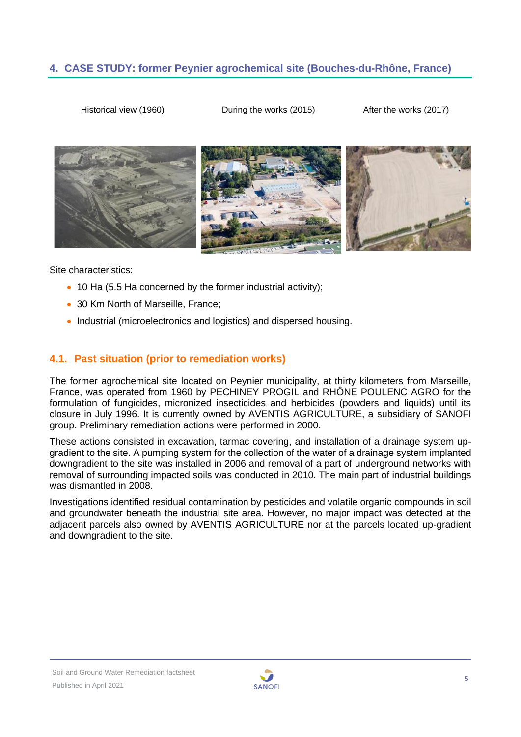# <span id="page-4-0"></span>**4. CASE STUDY: former Peynier agrochemical site (Bouches-du-Rhône, France)**

Historical view (1960) During the works (2015) After the works (2017)



Site characteristics:

- 10 Ha (5.5 Ha concerned by the former industrial activity);
- 30 Km North of Marseille, France;
- Industrial (microelectronics and logistics) and dispersed housing.

# <span id="page-4-1"></span>**4.1. Past situation (prior to remediation works)**

The former agrochemical site located on Peynier municipality, at thirty kilometers from Marseille, France, was operated from 1960 by PECHINEY PROGIL and RHÔNE POULENC AGRO for the formulation of fungicides, micronized insecticides and herbicides (powders and liquids) until its closure in July 1996. It is currently owned by AVENTIS AGRICULTURE, a subsidiary of SANOFI group. Preliminary remediation actions were performed in 2000.

These actions consisted in excavation, tarmac covering, and installation of a drainage system upgradient to the site. A pumping system for the collection of the water of a drainage system implanted downgradient to the site was installed in 2006 and removal of a part of underground networks with removal of surrounding impacted soils was conducted in 2010. The main part of industrial buildings was dismantled in 2008.

Investigations identified residual contamination by pesticides and volatile organic compounds in soil and groundwater beneath the industrial site area. However, no major impact was detected at the adjacent parcels also owned by AVENTIS AGRICULTURE nor at the parcels located up-gradient and downgradient to the site.